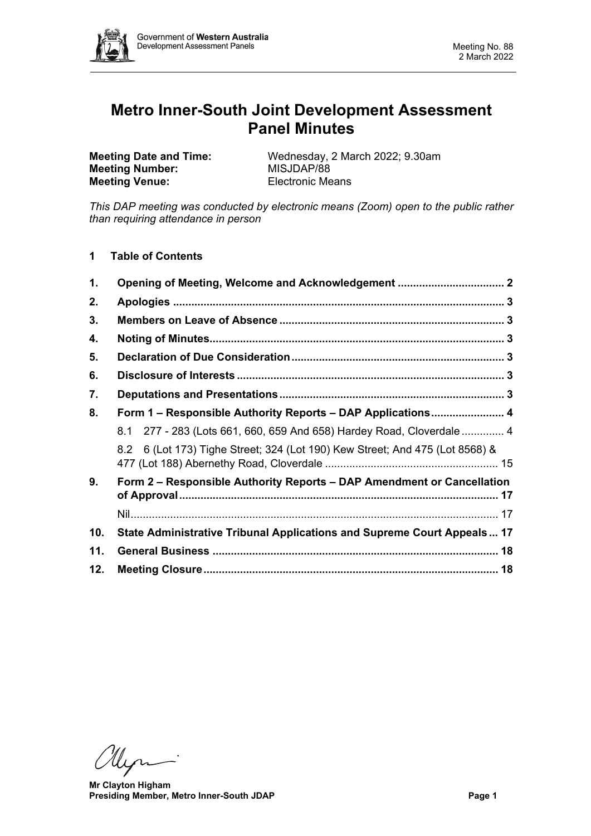

# **Metro Inner-South Joint Development Assessment Panel Minutes**

**Meeting Number: Meeting Venue:** Electronic Means

**Meeting Date and Time:** Wednesday, 2 March 2022; 9.30am<br> **MISJDAP/88** 

*This DAP meeting was conducted by electronic means (Zoom) open to the public rather than requiring attendance in person*

**1 Table of Contents**

| 1.  |                                                                              |  |
|-----|------------------------------------------------------------------------------|--|
| 2.  |                                                                              |  |
| 3.  |                                                                              |  |
| 4.  |                                                                              |  |
| 5.  |                                                                              |  |
| 6.  |                                                                              |  |
| 7.  |                                                                              |  |
| 8.  | Form 1 – Responsible Authority Reports – DAP Applications 4                  |  |
|     | 8.1 277 - 283 (Lots 661, 660, 659 And 658) Hardey Road, Cloverdale  4        |  |
|     | 8.2 6 (Lot 173) Tighe Street; 324 (Lot 190) Kew Street; And 475 (Lot 8568) & |  |
| 9.  | Form 2 - Responsible Authority Reports - DAP Amendment or Cancellation       |  |
|     |                                                                              |  |
| 10. | State Administrative Tribunal Applications and Supreme Court Appeals 17      |  |
| 11. |                                                                              |  |
| 12. |                                                                              |  |

Un

**Mr Clayton Higham Presiding Member, Metro Inner-South JDAP Page 1**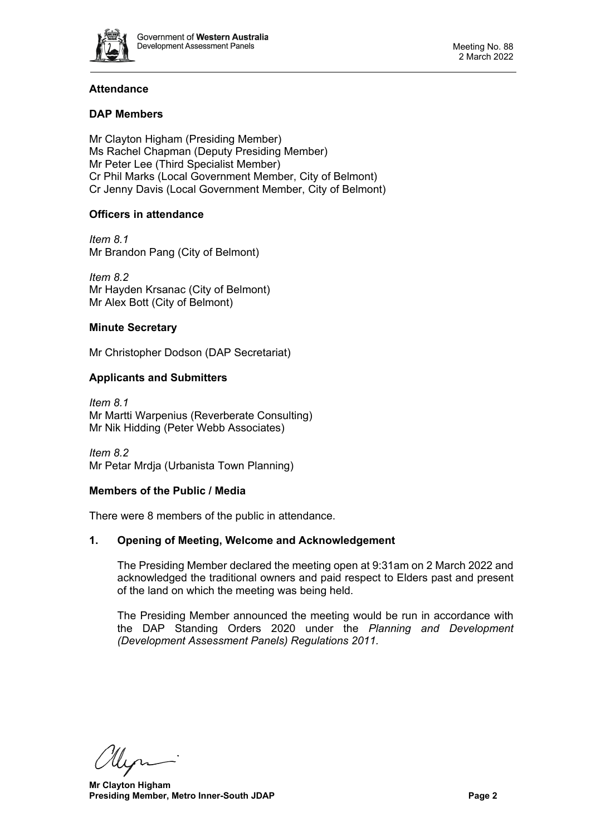

# **Attendance**

# **DAP Members**

Mr Clayton Higham (Presiding Member) Ms Rachel Chapman (Deputy Presiding Member) Mr Peter Lee (Third Specialist Member) Cr Phil Marks (Local Government Member, City of Belmont) Cr Jenny Davis (Local Government Member, City of Belmont)

# **Officers in attendance**

*Item 8.1* Mr Brandon Pang (City of Belmont)

*Item 8.2* Mr Hayden Krsanac (City of Belmont) Mr Alex Bott (City of Belmont)

# **Minute Secretary**

Mr Christopher Dodson (DAP Secretariat)

# **Applicants and Submitters**

*Item 8.1* Mr Martti Warpenius (Reverberate Consulting) Mr Nik Hidding (Peter Webb Associates)

*Item 8.2* Mr Petar Mrdja (Urbanista Town Planning)

#### **Members of the Public / Media**

<span id="page-1-0"></span>There were 8 members of the public in attendance.

# **1. Opening of Meeting, Welcome and Acknowledgement**

The Presiding Member declared the meeting open at 9:31am on 2 March 2022 and acknowledged the traditional owners and paid respect to Elders past and present of the land on which the meeting was being held.

The Presiding Member announced the meeting would be run in accordance with the DAP Standing Orders 2020 under the *Planning and Development (Development Assessment Panels) Regulations 2011.*

**Mr Clayton Higham Presiding Member, Metro Inner-South JDAP Page 2 Page 2**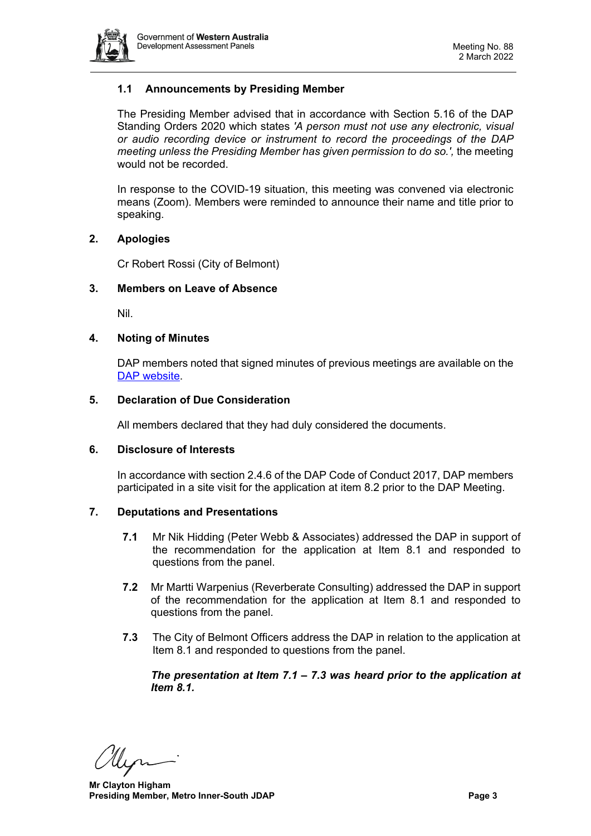

# **1.1 Announcements by Presiding Member**

The Presiding Member advised that in accordance with Section 5.16 of the DAP Standing Orders 2020 which states *'A person must not use any electronic, visual or audio recording device or instrument to record the proceedings of the DAP meeting unless the Presiding Member has given permission to do so.',* the meeting would not be recorded.

In response to the COVID-19 situation, this meeting was convened via electronic means (Zoom). Members were reminded to announce their name and title prior to speaking.

# <span id="page-2-0"></span>**2. Apologies**

Cr Robert Rossi (City of Belmont)

# <span id="page-2-1"></span>**3. Members on Leave of Absence**

Nil.

# <span id="page-2-2"></span>**4. Noting of Minutes**

DAP members noted that signed minutes of previous meetings are available on the [DAP website.](https://www.dplh.wa.gov.au/about/development-assessment-panels/daps-agendas-and-minutes)

#### <span id="page-2-3"></span>**5. Declaration of Due Consideration**

All members declared that they had duly considered the documents.

#### <span id="page-2-4"></span>**6. Disclosure of Interests**

In accordance with section 2.4.6 of the DAP Code of Conduct 2017, DAP members participated in a site visit for the application at item 8.2 prior to the DAP Meeting.

#### <span id="page-2-5"></span>**7. Deputations and Presentations**

- **7.1** Mr Nik Hidding (Peter Webb & Associates) addressed the DAP in support of the recommendation for the application at Item 8.1 and responded to questions from the panel.
- **7.2** Mr Martti Warpenius (Reverberate Consulting) addressed the DAP in support of the recommendation for the application at Item 8.1 and responded to questions from the panel.
- **7.3** The City of Belmont Officers address the DAP in relation to the application at Item 8.1 and responded to questions from the panel.

*The presentation at Item 7.1 – 7.3 was heard prior to the application at Item 8.1.* 

**Mr Clayton Higham Presiding Member, Metro Inner-South JDAP Page 3 Page 3**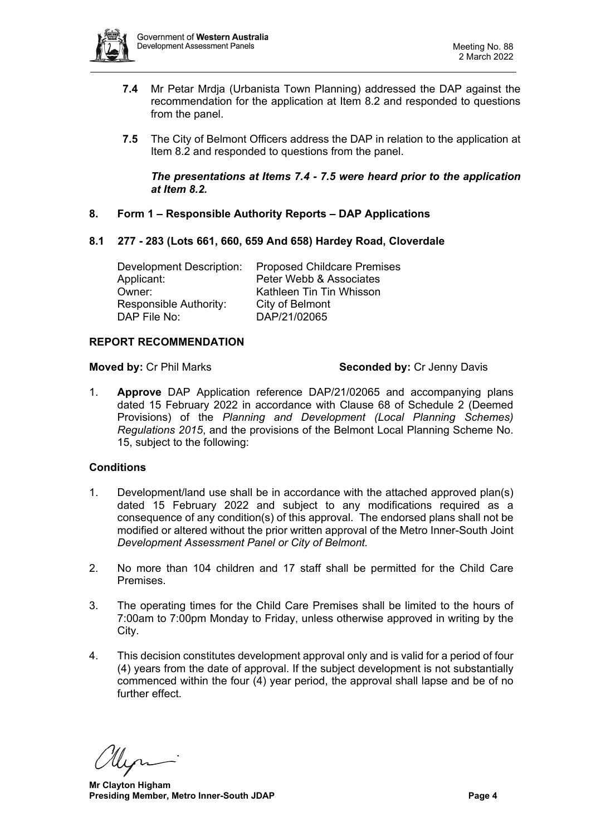

- **7.4** Mr Petar Mrdja (Urbanista Town Planning) addressed the DAP against the recommendation for the application at Item 8.2 and responded to questions from the panel.
- **7.5** The City of Belmont Officers address the DAP in relation to the application at Item 8.2 and responded to questions from the panel.

# *The presentations at Items 7.4 - 7.5 were heard prior to the application at Item 8.2.*

<span id="page-3-0"></span>**8. Form 1 – Responsible Authority Reports – DAP Applications**

# <span id="page-3-1"></span>**8.1 277 - 283 (Lots 661, 660, 659 And 658) Hardey Road, Cloverdale**

Development Description: Proposed Childcare Premises Applicant: Peter Webb & Associates Owner: Kathleen Tin Tin Whisson Responsible Authority: City of Belmont<br>DAP File No: DAP/21/02065 DAP/21/02065

# **REPORT RECOMMENDATION**

**Moved by:** Cr Phil Marks **Seconded by:** Cr Jenny Davis

1. **Approve** DAP Application reference DAP/21/02065 and accompanying plans dated 15 February 2022 in accordance with Clause 68 of Schedule 2 (Deemed Provisions) of the *Planning and Development (Local Planning Schemes) Regulations 2015*, and the provisions of the Belmont Local Planning Scheme No. 15, subject to the following:

# **Conditions**

- 1. Development/land use shall be in accordance with the attached approved plan(s) dated 15 February 2022 and subject to any modifications required as a consequence of any condition(s) of this approval. The endorsed plans shall not be modified or altered without the prior written approval of the Metro Inner-South Joint *Development Assessment Panel or City of Belmont.*
- 2. No more than 104 children and 17 staff shall be permitted for the Child Care Premises.
- 3. The operating times for the Child Care Premises shall be limited to the hours of 7:00am to 7:00pm Monday to Friday, unless otherwise approved in writing by the City.
- 4. This decision constitutes development approval only and is valid for a period of four (4) years from the date of approval. If the subject development is not substantially commenced within the four (4) year period, the approval shall lapse and be of no further effect.

**Mr Clayton Higham Presiding Member, Metro Inner-South JDAP Page 4 Page 4**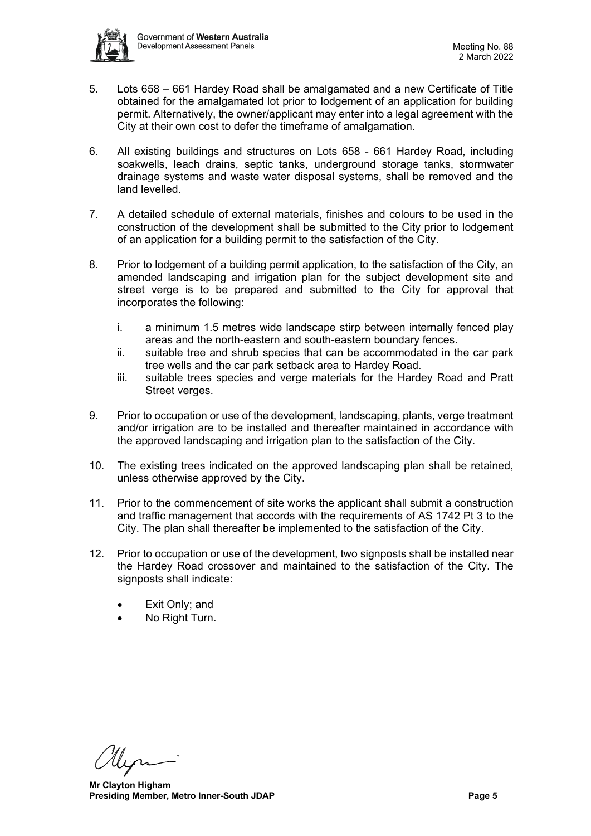

- 5. Lots 658 661 Hardey Road shall be amalgamated and a new Certificate of Title obtained for the amalgamated lot prior to lodgement of an application for building permit. Alternatively, the owner/applicant may enter into a legal agreement with the City at their own cost to defer the timeframe of amalgamation.
- 6. All existing buildings and structures on Lots 658 661 Hardey Road, including soakwells, leach drains, septic tanks, underground storage tanks, stormwater drainage systems and waste water disposal systems, shall be removed and the land levelled.
- 7. A detailed schedule of external materials, finishes and colours to be used in the construction of the development shall be submitted to the City prior to lodgement of an application for a building permit to the satisfaction of the City.
- 8. Prior to lodgement of a building permit application, to the satisfaction of the City, an amended landscaping and irrigation plan for the subject development site and street verge is to be prepared and submitted to the City for approval that incorporates the following:
	- i. a minimum 1.5 metres wide landscape stirp between internally fenced play areas and the north-eastern and south-eastern boundary fences.
	- ii. suitable tree and shrub species that can be accommodated in the car park tree wells and the car park setback area to Hardey Road.
	- iii. suitable trees species and verge materials for the Hardey Road and Pratt Street verges.
- 9. Prior to occupation or use of the development, landscaping, plants, verge treatment and/or irrigation are to be installed and thereafter maintained in accordance with the approved landscaping and irrigation plan to the satisfaction of the City.
- 10. The existing trees indicated on the approved landscaping plan shall be retained, unless otherwise approved by the City.
- 11. Prior to the commencement of site works the applicant shall submit a construction and traffic management that accords with the requirements of AS 1742 Pt 3 to the City. The plan shall thereafter be implemented to the satisfaction of the City.
- 12. Prior to occupation or use of the development, two signposts shall be installed near the Hardey Road crossover and maintained to the satisfaction of the City. The signposts shall indicate:
	- Exit Only; and
	- No Right Turn.

**Mr Clayton Higham Presiding Member, Metro Inner-South JDAP Page 5 Page 5**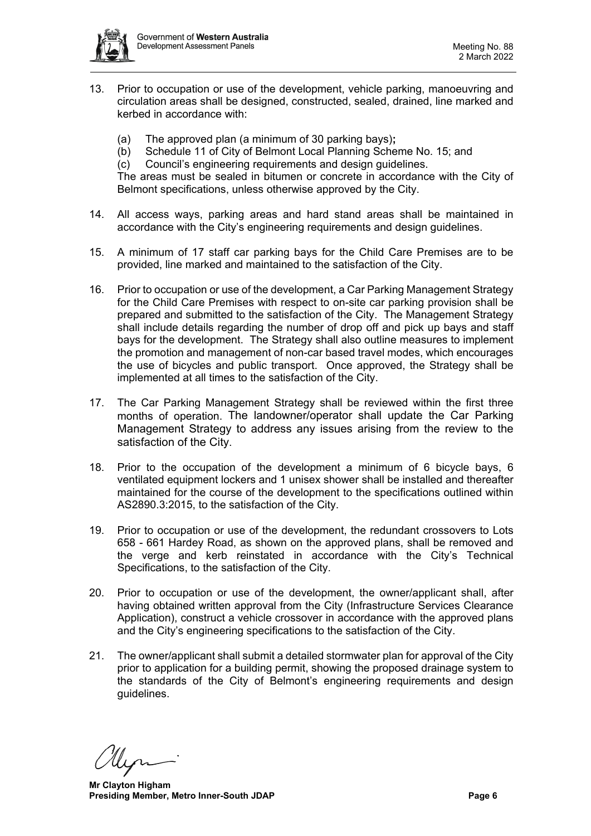

- 13. Prior to occupation or use of the development, vehicle parking, manoeuvring and circulation areas shall be designed, constructed, sealed, drained, line marked and kerbed in accordance with:
	- (a) The approved plan (a minimum of 30 parking bays)**;**
	- Schedule 11 of City of Belmont Local Planning Scheme No. 15; and
	- (c) Council's engineering requirements and design guidelines.

The areas must be sealed in bitumen or concrete in accordance with the City of Belmont specifications, unless otherwise approved by the City.

- 14. All access ways, parking areas and hard stand areas shall be maintained in accordance with the City's engineering requirements and design guidelines.
- 15. A minimum of 17 staff car parking bays for the Child Care Premises are to be provided, line marked and maintained to the satisfaction of the City.
- 16. Prior to occupation or use of the development, a Car Parking Management Strategy for the Child Care Premises with respect to on-site car parking provision shall be prepared and submitted to the satisfaction of the City. The Management Strategy shall include details regarding the number of drop off and pick up bays and staff bays for the development. The Strategy shall also outline measures to implement the promotion and management of non-car based travel modes, which encourages the use of bicycles and public transport. Once approved, the Strategy shall be implemented at all times to the satisfaction of the City.
- 17. The Car Parking Management Strategy shall be reviewed within the first three months of operation. The landowner/operator shall update the Car Parking Management Strategy to address any issues arising from the review to the satisfaction of the City.
- 18. Prior to the occupation of the development a minimum of 6 bicycle bays, 6 ventilated equipment lockers and 1 unisex shower shall be installed and thereafter maintained for the course of the development to the specifications outlined within AS2890.3:2015, to the satisfaction of the City.
- 19. Prior to occupation or use of the development, the redundant crossovers to Lots 658 - 661 Hardey Road, as shown on the approved plans, shall be removed and the verge and kerb reinstated in accordance with the City's Technical Specifications, to the satisfaction of the City.
- 20. Prior to occupation or use of the development, the owner/applicant shall, after having obtained written approval from the City (Infrastructure Services Clearance Application), construct a vehicle crossover in accordance with the approved plans and the City's engineering specifications to the satisfaction of the City.
- 21. The owner/applicant shall submit a detailed stormwater plan for approval of the City prior to application for a building permit, showing the proposed drainage system to the standards of the City of Belmont's engineering requirements and design guidelines.

**Mr Clayton Higham Presiding Member, Metro Inner-South JDAP Page 6 Page 6**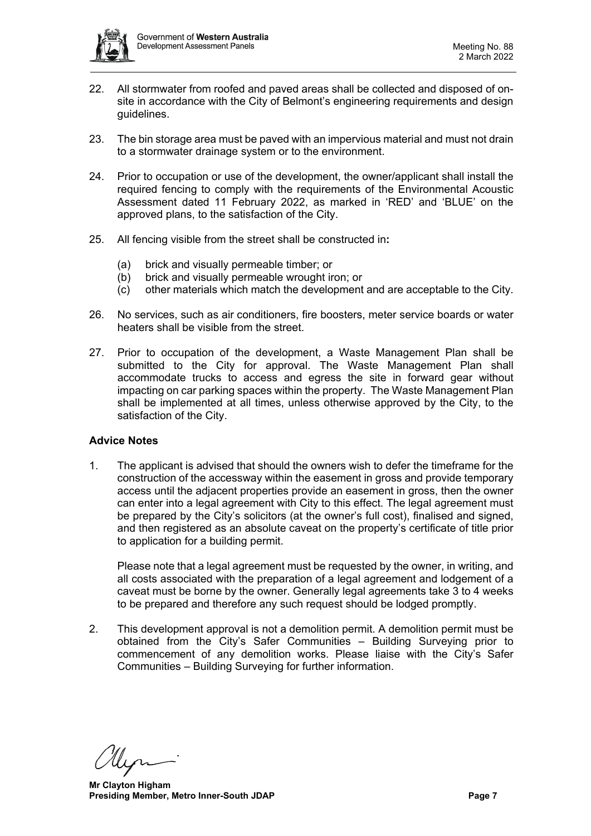

- 22. All stormwater from roofed and paved areas shall be collected and disposed of onsite in accordance with the City of Belmont's engineering requirements and design guidelines.
- 23. The bin storage area must be paved with an impervious material and must not drain to a stormwater drainage system or to the environment.
- 24. Prior to occupation or use of the development, the owner/applicant shall install the required fencing to comply with the requirements of the Environmental Acoustic Assessment dated 11 February 2022, as marked in 'RED' and 'BLUE' on the approved plans, to the satisfaction of the City.
- 25. All fencing visible from the street shall be constructed in**:**
	- (a) brick and visually permeable timber; or
	- (b) brick and visually permeable wrought iron; or
	- (c) other materials which match the development and are acceptable to the City.
- 26. No services, such as air conditioners, fire boosters, meter service boards or water heaters shall be visible from the street.
- 27. Prior to occupation of the development, a Waste Management Plan shall be submitted to the City for approval. The Waste Management Plan shall accommodate trucks to access and egress the site in forward gear without impacting on car parking spaces within the property. The Waste Management Plan shall be implemented at all times, unless otherwise approved by the City, to the satisfaction of the City.

#### **Advice Notes**

1. The applicant is advised that should the owners wish to defer the timeframe for the construction of the accessway within the easement in gross and provide temporary access until the adjacent properties provide an easement in gross, then the owner can enter into a legal agreement with City to this effect. The legal agreement must be prepared by the City's solicitors (at the owner's full cost), finalised and signed, and then registered as an absolute caveat on the property's certificate of title prior to application for a building permit.

Please note that a legal agreement must be requested by the owner, in writing, and all costs associated with the preparation of a legal agreement and lodgement of a caveat must be borne by the owner. Generally legal agreements take 3 to 4 weeks to be prepared and therefore any such request should be lodged promptly.

2. This development approval is not a demolition permit. A demolition permit must be obtained from the City's Safer Communities – Building Surveying prior to commencement of any demolition works. Please liaise with the City's Safer Communities – Building Surveying for further information.

**Mr Clayton Higham Presiding Member, Metro Inner-South JDAP Page 7 Page 7**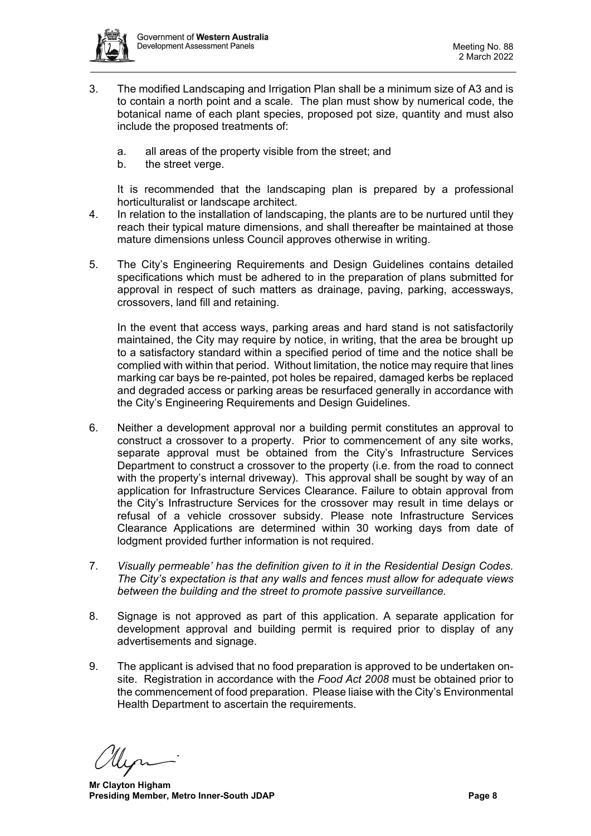

- 3. The modified Landscaping and Irrigation Plan shall be a minimum size of A3 and is to contain a north point and a scale. The plan must show by numerical code, the botanical name of each plant species, proposed pot size, quantity and must also include the proposed treatments of:
	- a. all areas of the property visible from the street; and
	- b. the street verge.

It is recommended that the landscaping plan is prepared by a professional horticulturalist or landscape architect.

- 4. In relation to the installation of landscaping, the plants are to be nurtured until they reach their typical mature dimensions, and shall thereafter be maintained at those mature dimensions unless Council approves otherwise in writing.
- 5. The City's Engineering Requirements and Design Guidelines contains detailed specifications which must be adhered to in the preparation of plans submitted for approval in respect of such matters as drainage, paving, parking, accessways, crossovers, land fill and retaining.

In the event that access ways, parking areas and hard stand is not satisfactorily maintained, the City may require by notice, in writing, that the area be brought up to a satisfactory standard within a specified period of time and the notice shall be complied with within that period. Without limitation, the notice may require that lines marking car bays be re-painted, pot holes be repaired, damaged kerbs be replaced and degraded access or parking areas be resurfaced generally in accordance with the City's Engineering Requirements and Design Guidelines.

- 6. Neither a development approval nor a building permit constitutes an approval to construct a crossover to a property. Prior to commencement of any site works, separate approval must be obtained from the City's Infrastructure Services Department to construct a crossover to the property (i.e. from the road to connect with the property's internal driveway). This approval shall be sought by way of an application for Infrastructure Services Clearance. Failure to obtain approval from the City's Infrastructure Services for the crossover may result in time delays or refusal of a vehicle crossover subsidy. Please note Infrastructure Services Clearance Applications are determined within 30 working days from date of lodgment provided further information is not required.
- 7. *Visually permeable' has the definition given to it in the Residential Design Codes. The City's expectation is that any walls and fences must allow for adequate views between the building and the street to promote passive surveillance.*
- 8. Signage is not approved as part of this application. A separate application for development approval and building permit is required prior to display of any advertisements and signage.
- 9. The applicant is advised that no food preparation is approved to be undertaken onsite. Registration in accordance with the *Food Act 2008* must be obtained prior to the commencement of food preparation. Please liaise with the City's Environmental Health Department to ascertain the requirements.

**Mr Clayton Higham Presiding Member, Metro Inner-South JDAP Page 8**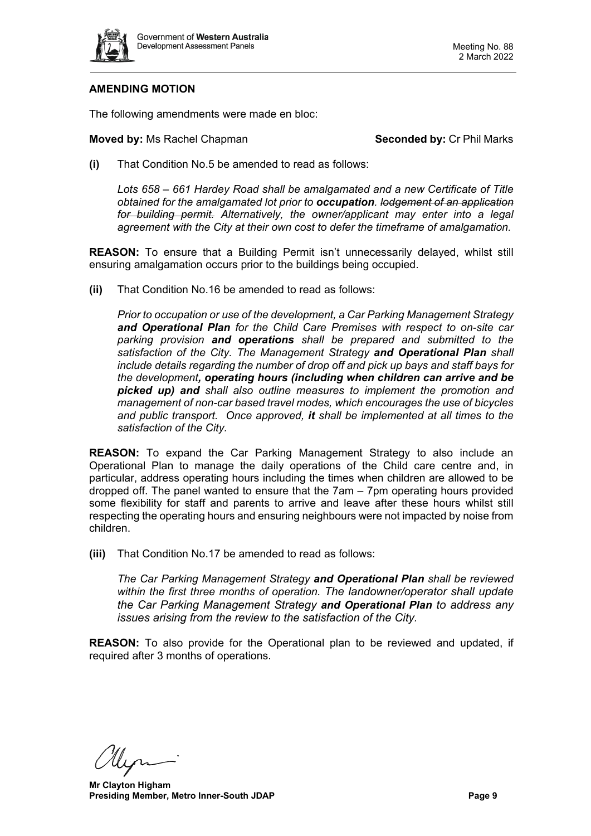

# **AMENDING MOTION**

The following amendments were made en bloc:

#### **Moved by:** Ms Rachel Chapman **Seconded by:** Cr Phil Marks

**(i)** That Condition No.5 be amended to read as follows:

*Lots 658 – 661 Hardey Road shall be amalgamated and a new Certificate of Title obtained for the amalgamated lot prior to occupation. lodgement of an application for building permit. Alternatively, the owner/applicant may enter into a legal agreement with the City at their own cost to defer the timeframe of amalgamation.*

**REASON:** To ensure that a Building Permit isn't unnecessarily delayed, whilst still ensuring amalgamation occurs prior to the buildings being occupied.

**(ii)** That Condition No.16 be amended to read as follows:

*Prior to occupation or use of the development, a Car Parking Management Strategy and Operational Plan for the Child Care Premises with respect to on-site car parking provision and operations shall be prepared and submitted to the satisfaction of the City. The Management Strategy and Operational Plan shall include details regarding the number of drop off and pick up bays and staff bays for the development, operating hours (including when children can arrive and be picked up) and shall also outline measures to implement the promotion and management of non-car based travel modes, which encourages the use of bicycles and public transport. Once approved, it shall be implemented at all times to the satisfaction of the City.*

**REASON:** To expand the Car Parking Management Strategy to also include an Operational Plan to manage the daily operations of the Child care centre and, in particular, address operating hours including the times when children are allowed to be dropped off. The panel wanted to ensure that the 7am – 7pm operating hours provided some flexibility for staff and parents to arrive and leave after these hours whilst still respecting the operating hours and ensuring neighbours were not impacted by noise from children.

**(iii)** That Condition No.17 be amended to read as follows:

*The Car Parking Management Strategy and Operational Plan shall be reviewed within the first three months of operation. The landowner/operator shall update the Car Parking Management Strategy and Operational Plan to address any issues arising from the review to the satisfaction of the City.*

**REASON:** To also provide for the Operational plan to be reviewed and updated, if required after 3 months of operations.

**Mr Clayton Higham Presiding Member, Metro Inner-South JDAP Page 9 Page 9**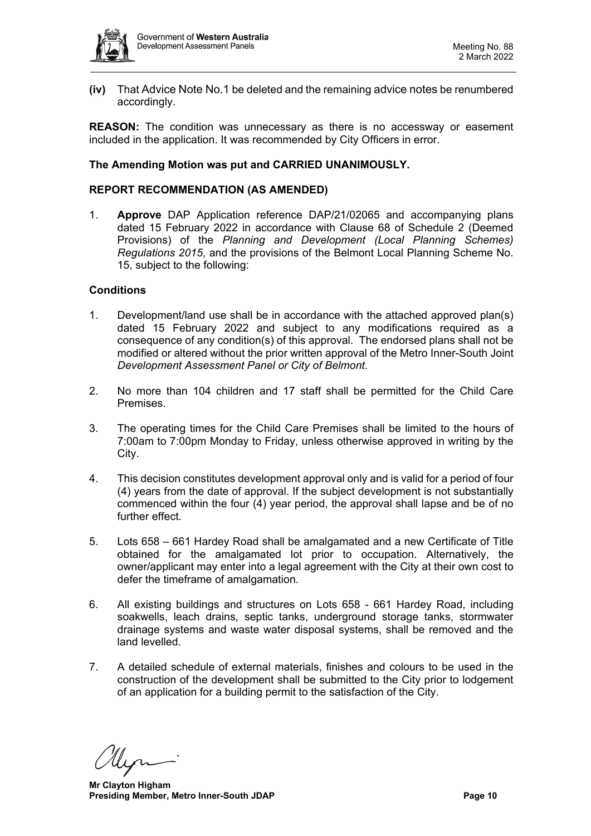

**(iv)** That Advice Note No.1 be deleted and the remaining advice notes be renumbered accordingly.

**REASON:** The condition was unnecessary as there is no accessway or easement included in the application. It was recommended by City Officers in error.

# **The Amending Motion was put and CARRIED UNANIMOUSLY.**

# **REPORT RECOMMENDATION (AS AMENDED)**

1. **Approve** DAP Application reference DAP/21/02065 and accompanying plans dated 15 February 2022 in accordance with Clause 68 of Schedule 2 (Deemed Provisions) of the *Planning and Development (Local Planning Schemes) Regulations 2015*, and the provisions of the Belmont Local Planning Scheme No. 15, subject to the following:

# **Conditions**

- 1. Development/land use shall be in accordance with the attached approved plan(s) dated 15 February 2022 and subject to any modifications required as a consequence of any condition(s) of this approval. The endorsed plans shall not be modified or altered without the prior written approval of the Metro Inner-South Joint *Development Assessment Panel or City of Belmont.*
- 2. No more than 104 children and 17 staff shall be permitted for the Child Care Premises.
- 3. The operating times for the Child Care Premises shall be limited to the hours of 7:00am to 7:00pm Monday to Friday, unless otherwise approved in writing by the City.
- 4. This decision constitutes development approval only and is valid for a period of four (4) years from the date of approval. If the subject development is not substantially commenced within the four (4) year period, the approval shall lapse and be of no further effect.
- 5. Lots 658 661 Hardey Road shall be amalgamated and a new Certificate of Title obtained for the amalgamated lot prior to occupation. Alternatively, the owner/applicant may enter into a legal agreement with the City at their own cost to defer the timeframe of amalgamation.
- 6. All existing buildings and structures on Lots 658 661 Hardey Road, including soakwells, leach drains, septic tanks, underground storage tanks, stormwater drainage systems and waste water disposal systems, shall be removed and the land levelled.
- 7. A detailed schedule of external materials, finishes and colours to be used in the construction of the development shall be submitted to the City prior to lodgement of an application for a building permit to the satisfaction of the City.

**Mr Clayton Higham Presiding Member, Metro Inner-South JDAP Page 10 Page 10**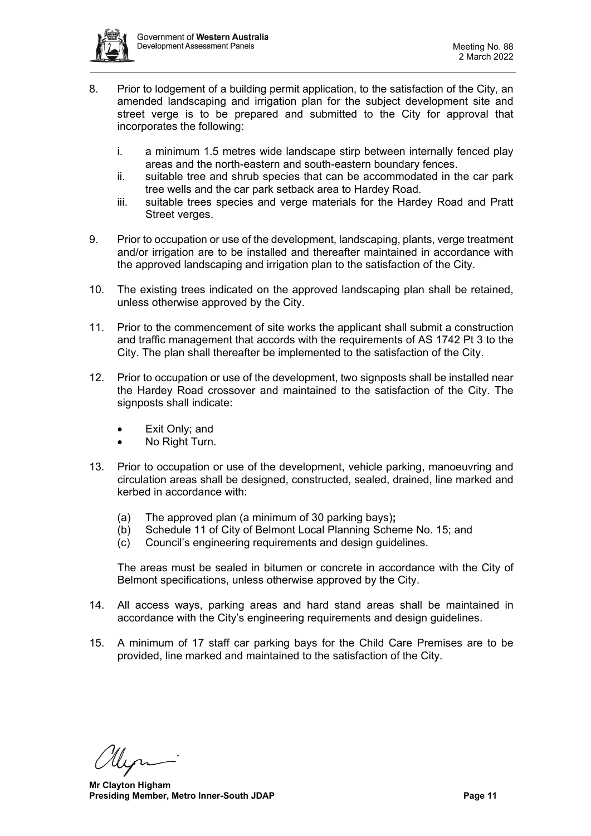

- 8. Prior to lodgement of a building permit application, to the satisfaction of the City, an amended landscaping and irrigation plan for the subject development site and street verge is to be prepared and submitted to the City for approval that incorporates the following:
	- i. a minimum 1.5 metres wide landscape stirp between internally fenced play areas and the north-eastern and south-eastern boundary fences.
	- ii. suitable tree and shrub species that can be accommodated in the car park tree wells and the car park setback area to Hardey Road.
	- iii. suitable trees species and verge materials for the Hardey Road and Pratt Street verges.
- 9. Prior to occupation or use of the development, landscaping, plants, verge treatment and/or irrigation are to be installed and thereafter maintained in accordance with the approved landscaping and irrigation plan to the satisfaction of the City.
- 10. The existing trees indicated on the approved landscaping plan shall be retained, unless otherwise approved by the City.
- 11. Prior to the commencement of site works the applicant shall submit a construction and traffic management that accords with the requirements of AS 1742 Pt 3 to the City. The plan shall thereafter be implemented to the satisfaction of the City.
- 12. Prior to occupation or use of the development, two signposts shall be installed near the Hardey Road crossover and maintained to the satisfaction of the City. The signposts shall indicate:
	- Exit Only; and
	- No Right Turn.
- 13. Prior to occupation or use of the development, vehicle parking, manoeuvring and circulation areas shall be designed, constructed, sealed, drained, line marked and kerbed in accordance with:
	- (a) The approved plan (a minimum of 30 parking bays)**;**
	- (b) Schedule 11 of City of Belmont Local Planning Scheme No. 15; and
	- (c) Council's engineering requirements and design guidelines.

The areas must be sealed in bitumen or concrete in accordance with the City of Belmont specifications, unless otherwise approved by the City.

- 14. All access ways, parking areas and hard stand areas shall be maintained in accordance with the City's engineering requirements and design guidelines.
- 15. A minimum of 17 staff car parking bays for the Child Care Premises are to be provided, line marked and maintained to the satisfaction of the City.

**Mr Clayton Higham Presiding Member, Metro Inner-South JDAP Page 11 Page 11**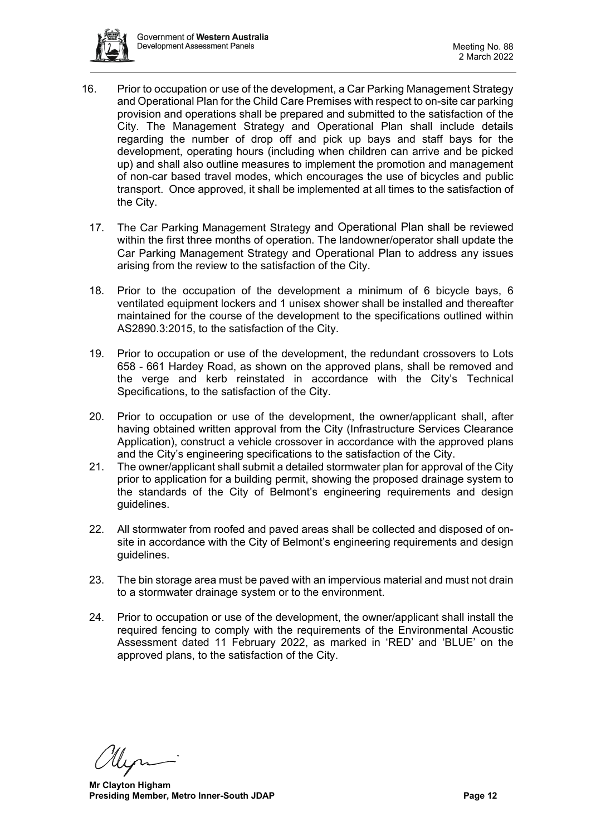

- 16. Prior to occupation or use of the development, a Car Parking Management Strategy and Operational Plan for the Child Care Premises with respect to on-site car parking provision and operations shall be prepared and submitted to the satisfaction of the City. The Management Strategy and Operational Plan shall include details regarding the number of drop off and pick up bays and staff bays for the development, operating hours (including when children can arrive and be picked up) and shall also outline measures to implement the promotion and management of non-car based travel modes, which encourages the use of bicycles and public transport. Once approved, it shall be implemented at all times to the satisfaction of the City.
	- 17. The Car Parking Management Strategy and Operational Plan shall be reviewed within the first three months of operation. The landowner/operator shall update the Car Parking Management Strategy and Operational Plan to address any issues arising from the review to the satisfaction of the City.
	- 18. Prior to the occupation of the development a minimum of 6 bicycle bays, 6 ventilated equipment lockers and 1 unisex shower shall be installed and thereafter maintained for the course of the development to the specifications outlined within AS2890.3:2015, to the satisfaction of the City.
	- 19. Prior to occupation or use of the development, the redundant crossovers to Lots 658 - 661 Hardey Road, as shown on the approved plans, shall be removed and the verge and kerb reinstated in accordance with the City's Technical Specifications, to the satisfaction of the City.
	- 20. Prior to occupation or use of the development, the owner/applicant shall, after having obtained written approval from the City (Infrastructure Services Clearance Application), construct a vehicle crossover in accordance with the approved plans and the City's engineering specifications to the satisfaction of the City.
	- 21. The owner/applicant shall submit a detailed stormwater plan for approval of the City prior to application for a building permit, showing the proposed drainage system to the standards of the City of Belmont's engineering requirements and design guidelines.
	- 22. All stormwater from roofed and paved areas shall be collected and disposed of onsite in accordance with the City of Belmont's engineering requirements and design guidelines.
	- 23. The bin storage area must be paved with an impervious material and must not drain to a stormwater drainage system or to the environment.
	- 24. Prior to occupation or use of the development, the owner/applicant shall install the required fencing to comply with the requirements of the Environmental Acoustic Assessment dated 11 February 2022, as marked in 'RED' and 'BLUE' on the approved plans, to the satisfaction of the City.

**Mr Clayton Higham Presiding Member, Metro Inner-South JDAP Page 12 Page 12**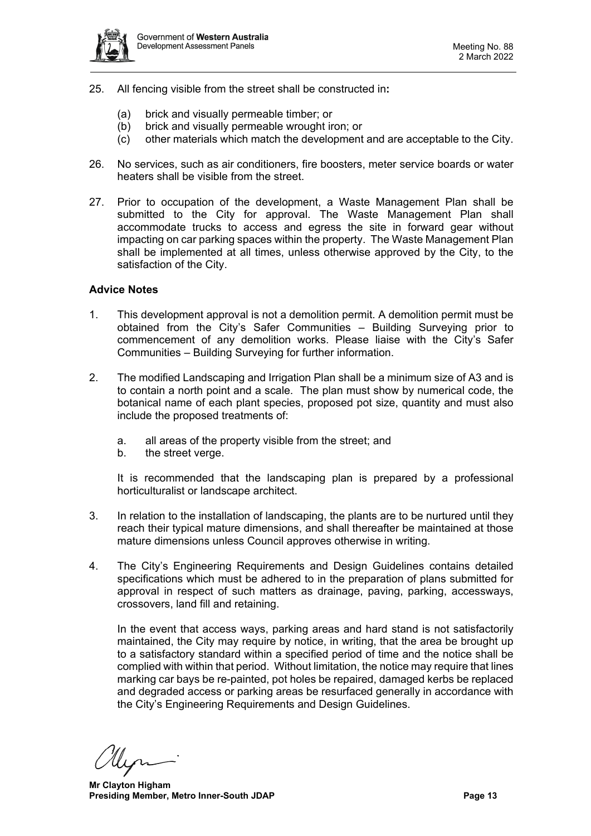

- 25. All fencing visible from the street shall be constructed in**:**
	- (a) brick and visually permeable timber; or
	- (b) brick and visually permeable wrought iron; or
	- (c) other materials which match the development and are acceptable to the City.
- 26. No services, such as air conditioners, fire boosters, meter service boards or water heaters shall be visible from the street.
- 27. Prior to occupation of the development, a Waste Management Plan shall be submitted to the City for approval. The Waste Management Plan shall accommodate trucks to access and egress the site in forward gear without impacting on car parking spaces within the property. The Waste Management Plan shall be implemented at all times, unless otherwise approved by the City, to the satisfaction of the City.

#### **Advice Notes**

- 1. This development approval is not a demolition permit. A demolition permit must be obtained from the City's Safer Communities – Building Surveying prior to commencement of any demolition works. Please liaise with the City's Safer Communities – Building Surveying for further information.
- 2. The modified Landscaping and Irrigation Plan shall be a minimum size of A3 and is to contain a north point and a scale. The plan must show by numerical code, the botanical name of each plant species, proposed pot size, quantity and must also include the proposed treatments of:
	- a. all areas of the property visible from the street; and
	- b. the street verge.

It is recommended that the landscaping plan is prepared by a professional horticulturalist or landscape architect.

- 3. In relation to the installation of landscaping, the plants are to be nurtured until they reach their typical mature dimensions, and shall thereafter be maintained at those mature dimensions unless Council approves otherwise in writing.
- 4. The City's Engineering Requirements and Design Guidelines contains detailed specifications which must be adhered to in the preparation of plans submitted for approval in respect of such matters as drainage, paving, parking, accessways, crossovers, land fill and retaining.

In the event that access ways, parking areas and hard stand is not satisfactorily maintained, the City may require by notice, in writing, that the area be brought up to a satisfactory standard within a specified period of time and the notice shall be complied with within that period. Without limitation, the notice may require that lines marking car bays be re-painted, pot holes be repaired, damaged kerbs be replaced and degraded access or parking areas be resurfaced generally in accordance with the City's Engineering Requirements and Design Guidelines.

**Mr Clayton Higham Presiding Member, Metro Inner-South JDAP Page 13 Page 13**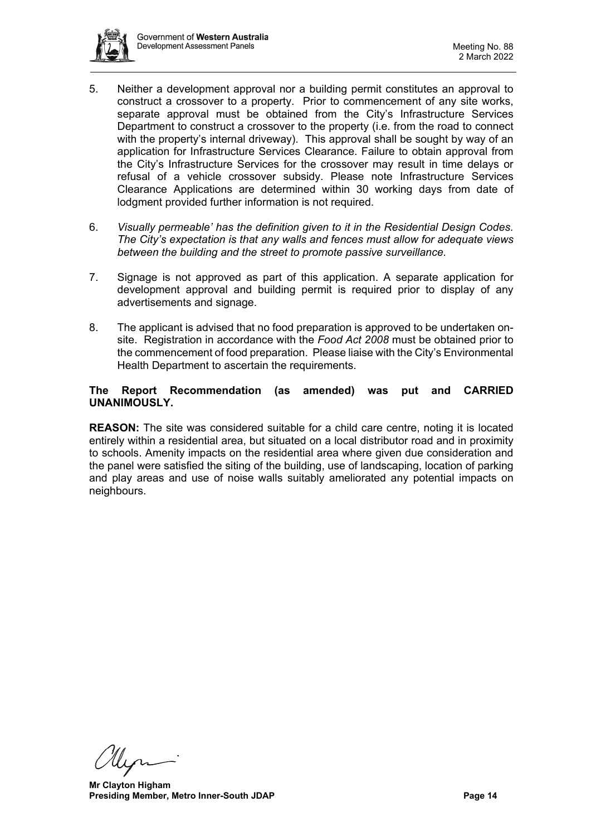

- 5. Neither a development approval nor a building permit constitutes an approval to construct a crossover to a property. Prior to commencement of any site works, separate approval must be obtained from the City's Infrastructure Services Department to construct a crossover to the property (i.e. from the road to connect with the property's internal driveway). This approval shall be sought by way of an application for Infrastructure Services Clearance. Failure to obtain approval from the City's Infrastructure Services for the crossover may result in time delays or refusal of a vehicle crossover subsidy. Please note Infrastructure Services Clearance Applications are determined within 30 working days from date of lodgment provided further information is not required.
- 6. *Visually permeable' has the definition given to it in the Residential Design Codes. The City's expectation is that any walls and fences must allow for adequate views between the building and the street to promote passive surveillance.*
- 7. Signage is not approved as part of this application. A separate application for development approval and building permit is required prior to display of any advertisements and signage.
- 8. The applicant is advised that no food preparation is approved to be undertaken onsite. Registration in accordance with the *Food Act 2008* must be obtained prior to the commencement of food preparation. Please liaise with the City's Environmental Health Department to ascertain the requirements.

# **The Report Recommendation (as amended) was put and CARRIED UNANIMOUSLY.**

**REASON:** The site was considered suitable for a child care centre, noting it is located entirely within a residential area, but situated on a local distributor road and in proximity to schools. Amenity impacts on the residential area where given due consideration and the panel were satisfied the siting of the building, use of landscaping, location of parking and play areas and use of noise walls suitably ameliorated any potential impacts on neighbours.

**Mr Clayton Higham Presiding Member, Metro Inner-South JDAP Page 14 Page 14**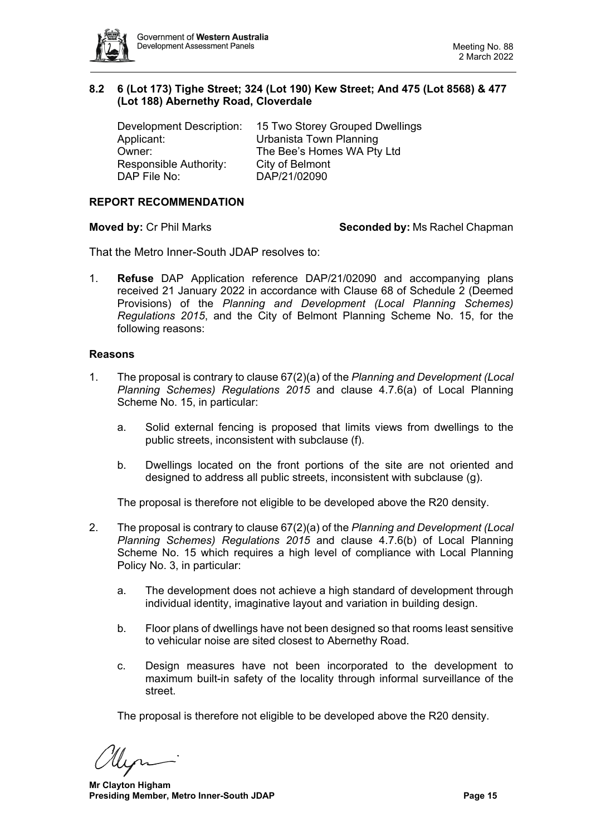

# <span id="page-14-0"></span>**8.2 6 (Lot 173) Tighe Street; 324 (Lot 190) Kew Street; And 475 (Lot 8568) & 477 (Lot 188) Abernethy Road, Cloverdale**

| Development Description: | 15 Two Storey Grouped Dwellings |
|--------------------------|---------------------------------|
| Applicant:               | Urbanista Town Planning         |
| Owner:                   | The Bee's Homes WA Pty Ltd      |
| Responsible Authority:   | City of Belmont                 |
| DAP File No:             | DAP/21/02090                    |

# **REPORT RECOMMENDATION**

**Moved by: Cr Phil Marks <b>Seconded by:** Ms Rachel Chapman

That the Metro Inner-South JDAP resolves to:

1. **Refuse** DAP Application reference DAP/21/02090 and accompanying plans received 21 January 2022 in accordance with Clause 68 of Schedule 2 (Deemed Provisions) of the *Planning and Development (Local Planning Schemes) Regulations 2015*, and the City of Belmont Planning Scheme No. 15, for the following reasons:

#### **Reasons**

- 1. The proposal is contrary to clause 67(2)(a) of the *Planning and Development (Local Planning Schemes) Regulations 2015* and clause 4.7.6(a) of Local Planning Scheme No. 15, in particular:
	- a. Solid external fencing is proposed that limits views from dwellings to the public streets, inconsistent with subclause (f).
	- b. Dwellings located on the front portions of the site are not oriented and designed to address all public streets, inconsistent with subclause (g).

The proposal is therefore not eligible to be developed above the R20 density.

- 2. The proposal is contrary to clause 67(2)(a) of the *Planning and Development (Local Planning Schemes) Regulations 2015* and clause 4.7.6(b) of Local Planning Scheme No. 15 which requires a high level of compliance with Local Planning Policy No. 3, in particular:
	- a. The development does not achieve a high standard of development through individual identity, imaginative layout and variation in building design.
	- b. Floor plans of dwellings have not been designed so that rooms least sensitive to vehicular noise are sited closest to Abernethy Road.
	- c. Design measures have not been incorporated to the development to maximum built-in safety of the locality through informal surveillance of the street.

The proposal is therefore not eligible to be developed above the R20 density.

**Mr Clayton Higham Presiding Member, Metro Inner-South JDAP Page 15 Page 15**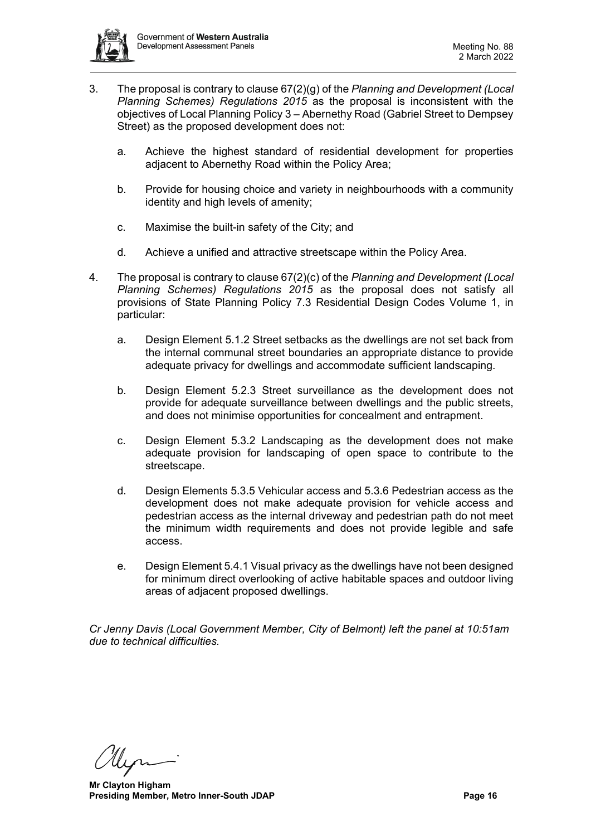

- 3. The proposal is contrary to clause 67(2)(g) of the *Planning and Development (Local Planning Schemes) Regulations 2015* as the proposal is inconsistent with the objectives of Local Planning Policy 3 – Abernethy Road (Gabriel Street to Dempsey Street) as the proposed development does not:
	- a. Achieve the highest standard of residential development for properties adjacent to Abernethy Road within the Policy Area;
	- b. Provide for housing choice and variety in neighbourhoods with a community identity and high levels of amenity;
	- c. Maximise the built-in safety of the City; and
	- d. Achieve a unified and attractive streetscape within the Policy Area.
- 4. The proposal is contrary to clause 67(2)(c) of the *Planning and Development (Local Planning Schemes) Regulations 2015* as the proposal does not satisfy all provisions of State Planning Policy 7.3 Residential Design Codes Volume 1, in particular:
	- a. Design Element 5.1.2 Street setbacks as the dwellings are not set back from the internal communal street boundaries an appropriate distance to provide adequate privacy for dwellings and accommodate sufficient landscaping.
	- b. Design Element 5.2.3 Street surveillance as the development does not provide for adequate surveillance between dwellings and the public streets, and does not minimise opportunities for concealment and entrapment.
	- c. Design Element 5.3.2 Landscaping as the development does not make adequate provision for landscaping of open space to contribute to the streetscape.
	- d. Design Elements 5.3.5 Vehicular access and 5.3.6 Pedestrian access as the development does not make adequate provision for vehicle access and pedestrian access as the internal driveway and pedestrian path do not meet the minimum width requirements and does not provide legible and safe access.
	- e. Design Element 5.4.1 Visual privacy as the dwellings have not been designed for minimum direct overlooking of active habitable spaces and outdoor living areas of adjacent proposed dwellings.

*Cr Jenny Davis (Local Government Member, City of Belmont) left the panel at 10:51am due to technical difficulties.*

**Mr Clayton Higham Presiding Member, Metro Inner-South JDAP Page 16 Page 16**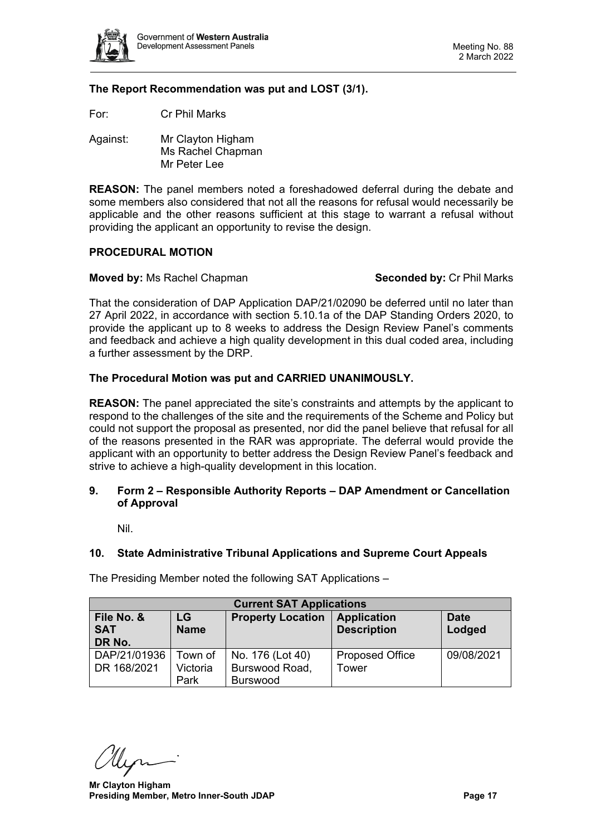

# **The Report Recommendation was put and LOST (3/1).**

For: Cr Phil Marks

Against: Mr Clayton Higham Ms Rachel Chapman Mr Peter Lee

**REASON:** The panel members noted a foreshadowed deferral during the debate and some members also considered that not all the reasons for refusal would necessarily be applicable and the other reasons sufficient at this stage to warrant a refusal without providing the applicant an opportunity to revise the design.

#### **PROCEDURAL MOTION**

# **Moved by:** Ms Rachel Chapman **Seconded by: Cr Phil Marks**

That the consideration of DAP Application DAP/21/02090 be deferred until no later than 27 April 2022, in accordance with section 5.10.1a of the DAP Standing Orders 2020, to provide the applicant up to 8 weeks to address the Design Review Panel's comments and feedback and achieve a high quality development in this dual coded area, including a further assessment by the DRP.

# **The Procedural Motion was put and CARRIED UNANIMOUSLY.**

**REASON:** The panel appreciated the site's constraints and attempts by the applicant to respond to the challenges of the site and the requirements of the Scheme and Policy but could not support the proposal as presented, nor did the panel believe that refusal for all of the reasons presented in the RAR was appropriate. The deferral would provide the applicant with an opportunity to better address the Design Review Panel's feedback and strive to achieve a high-quality development in this location.

# <span id="page-16-0"></span>**9. Form 2 – Responsible Authority Reports – DAP Amendment or Cancellation of Approval**

Nil.

# <span id="page-16-2"></span><span id="page-16-1"></span>**10. State Administrative Tribunal Applications and Supreme Court Appeals**

The Presiding Member noted the following SAT Applications –

| <b>Current SAT Applications</b> |             |                          |                        |             |  |  |  |  |
|---------------------------------|-------------|--------------------------|------------------------|-------------|--|--|--|--|
| File No. &                      | LG          | <b>Property Location</b> | <b>Application</b>     | <b>Date</b> |  |  |  |  |
| <b>SAT</b>                      | <b>Name</b> |                          | <b>Description</b>     | Lodged      |  |  |  |  |
| DR No.                          |             |                          |                        |             |  |  |  |  |
| DAP/21/01936                    | Town of     | No. 176 (Lot 40)         | <b>Proposed Office</b> | 09/08/2021  |  |  |  |  |
| DR 168/2021                     | Victoria    | Burswood Road,           | Tower                  |             |  |  |  |  |
|                                 | Park        | <b>Burswood</b>          |                        |             |  |  |  |  |

<span id="page-16-3"></span>

**Mr Clayton Higham Presiding Member, Metro Inner-South JDAP Page 17 Page 17**